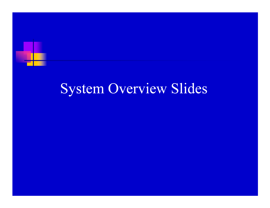

# System Overview Slides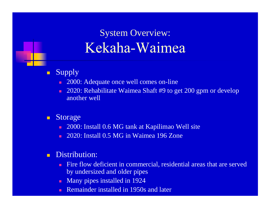### System Overview: Kekaha-Waimea

- $\blacksquare$  Supply
	- $\blacksquare$ 2000: Adequate once well comes on-line
	- п 2020: Rehabilitate Waimea Shaft #9 to get 200 gpm or develop another well
- $\blacksquare$  Storage
	- $\blacksquare$ 2000: Install 0.6 MG tank at Kapilimao Well site
	- m. 2020: Install 0.5 MG in Waimea 196 Zone
- $\blacksquare$  Distribution:
	- m. Fire flow deficient in commercial, residential areas that are served by undersized and older pipes
	- п Many pipes installed in 1924
	- Remainder installed in 1950s and later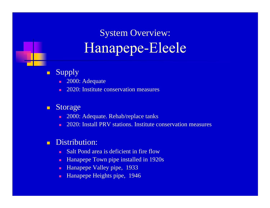## System Overview: Hanapepe-Eleele

#### $\blacksquare$ Supply

- 2000: Adequate
- ×. 2020: Institute conservation measures

#### $\blacksquare$ Storage

- п 2000: Adequate. Rehab/replace tanks
- ×. 2020: Install PRV stations. Institute conservation measures

#### $\blacksquare$ Distribution:

- п Salt Pond area is deficient in fire flow
- п Hanapepe Town pipe installed in 1920s
- ш Hanapepe Valley pipe, 1933
- п Hanapepe Heights pipe, 1946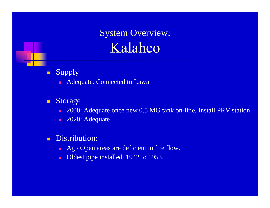

System Overview: Kalaheo

- $\blacksquare$  Supply
	- **Adequate. Connected to Lawai**

#### $\blacksquare$ Storage

- $\blacksquare$ 2000: Adequate once new 0.5 MG tank on-line. Install PRV station
- $\blacksquare$ 2020: Adequate
- $\blacksquare$  Distribution:
	- $\blacksquare$  Ag / Open areas are deficient in fire flow.
	- $\blacksquare$ Oldest pipe installed 1942 to 1953.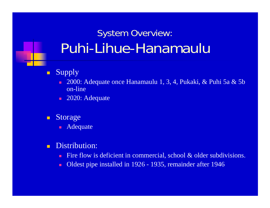## System Overview: Puhi-Lihue-Hanamaulu

- $\blacksquare$  Supply
	- $\blacksquare$  2000: Adequate once Hanamaulu 1, 3, 4, Pukaki, & Puhi 5a & 5b on-line
	- 2020: Adequate
- $\blacksquare$  Storage
	- $\blacksquare$ Adequate
- $\blacksquare$  Distribution:
	- п Fire flow is deficient in commercial, school & older subdivisions.
	- п Oldest pipe installed in 1926 - 1935, remainder after 1946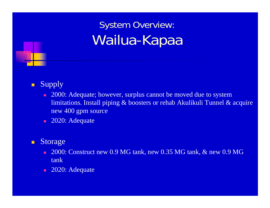## System Overview: Wailua-Kapaa

### $\blacksquare$ Supply

- ×. 2000: Adequate; however, surplus cannot be moved due to system limitations. Install piping & boosters or rehab Akulikuli Tunnel & acquire new 400 gpm source
- 2020: Adequate

#### $\blacksquare$ Storage

- 2000: Construct new 0.9 MG tank, new 0.35 MG tank, & new 0.9 MG tank
- $\blacksquare$ 2020: Adequate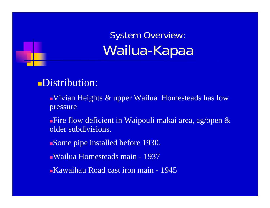System Overview: Wailua-Kapaa

### Distribution:

- Vivian Heights & upper Wailua Homesteads has low pressure
- Fire flow deficient in Waipouli makai area, ag/open & older subdivisions.
- Some pipe installed before 1930.
- Wailua Homesteads main 1937
- Kawaihau Road cast iron main 1945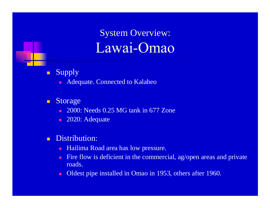

System Overview: Lawai-Omao

- $\blacksquare$  Supply
	- **Adequate. Connected to Kalaheo**
- $\blacksquare$  Storage
	- **2000: Needs 0.25 MG tank in 677 Zone**
	- 2020: Adequate
- $\blacksquare$  Distribution:
	- п Hailima Road area has low pressure.
	- ш Fire flow is deficient in the commercial, ag/open areas and private roads.
	- $\blacksquare$ Oldest pipe installed in Omao in 1953, others after 1960.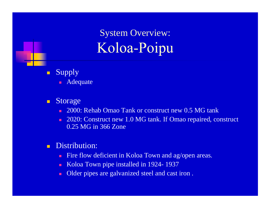System Overview: Koloa-Poipu

- $\blacksquare$  Supply
	- Adequate
- $\blacksquare$  Storage
	- $\blacksquare$ 2000: Rehab Omao Tank or construct new 0.5 MG tank
	- п 2020: Construct new 1.0 MG tank. If Omao repaired, construct 0.25 MG in 366 Zone
- $\blacksquare$  Distribution:
	- п Fire flow deficient in Koloa Town and ag/open areas.
	- п Koloa Town pipe installed in 1924- 1937
	- п Older pipes are galvanized steel and cast iron .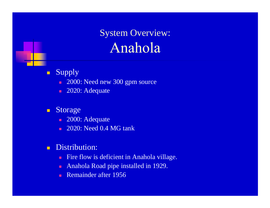

System Overview: Anahola

- $\blacksquare$  Supply
	- $\blacksquare$ 2000: Need new 300 gpm source
	- 2020: Adequate
- $\blacksquare$  Storage
	- 2000: Adequate
	- m. 2020: Need 0.4 MG tank
- $\blacksquare$  Distribution:
	- Fire flow is deficient in Anahola village.
	- $\blacksquare$ Anahola Road pipe installed in 1929.
	- н Remainder after 1956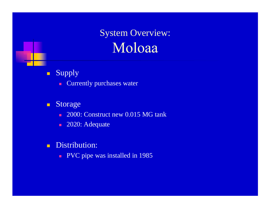

System Overview: Moloaa

### $\blacksquare$ Supply

a. Currently purchases water

#### $\blacksquare$ Storage

- $\blacksquare$ 2000: Construct new 0.015 MG tank
- $\blacksquare$ 2020: Adequate
- $\blacksquare$  Distribution:
	- **PVC** pipe was installed in 1985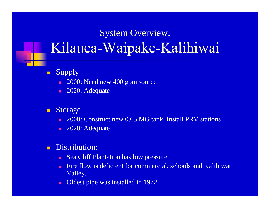### System Overview: Kilauea-Waipake-Kalihiwai

- $\blacksquare$  Supply
	- a. 2000: Need new 400 gpm source
	- $\blacksquare$ 2020: Adequate
- $\blacksquare$  Storage
	- 2000: Construct new 0.65 MG tank. Install PRV stations
	- н 2020: Adequate
- $\blacksquare$ Distribution:
	- **COL** Sea Cliff Plantation has low pressure.
	- п Fire flow is deficient for commercial, schools and Kalihiwai Valley.
	- $\blacksquare$ Oldest pipe was installed in 1972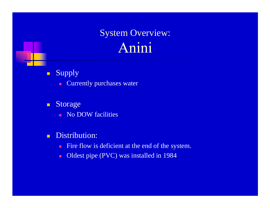### System Overview: Anini

- $\blacksquare$  Supply
	- a. Currently purchases water
- $\blacksquare$  Storage
	- **No DOW facilities**
- $\blacksquare$  Distribution:
	- $\blacksquare$ Fire flow is deficient at the end of the system.
	- $\blacksquare$ Oldest pipe (PVC) was installed in 1984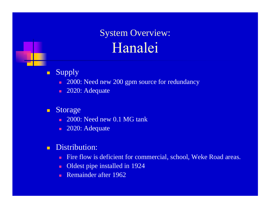### System Overview: Hanalei

- $\blacksquare$  Supply
	- $\blacksquare$ 2000: Need new 200 gpm source for redundancy
	- $\blacksquare$ 2020: Adequate
- $\blacksquare$  Storage
	- 2000: Need new 0.1 MG tank
	- 2020: Adequate
- $\blacksquare$  Distribution:
	- m. Fire flow is deficient for commercial, school, Weke Road areas.
	- $\blacksquare$ Oldest pipe installed in 1924
	- н Remainder after 1962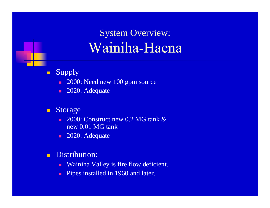### System Overview: Wainiha-Haena

- $\blacksquare$  Supply
	- $\blacksquare$ 2000: Need new 100 gpm source
	- 2020: Adequate
- $\blacksquare$  Storage
	- н  $\blacksquare$  2000: Construct new 0.2 MG tank  $\&$ new 0.01 MG tank
	- 2020: Adequate
- $\blacksquare$ Distribution:
	- $\blacksquare$ Wainiha Valley is fire flow deficient.
	- $\blacksquare$ Pipes installed in 1960 and later.